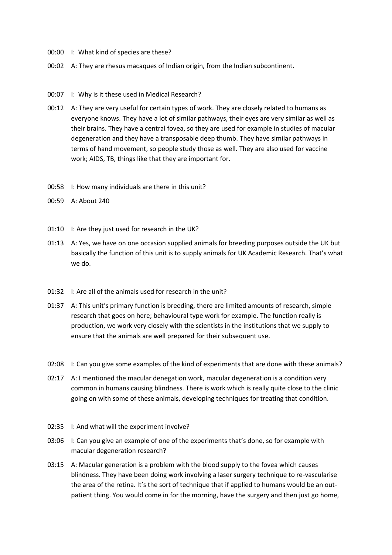- 00:00 I: What kind of species are these?
- 00:02 A: They are rhesus macaques of Indian origin, from the Indian subcontinent.
- 00:07 I: Why is it these used in Medical Research?
- 00:12 A: They are very useful for certain types of work. They are closely related to humans as everyone knows. They have a lot of similar pathways, their eyes are very similar as well as their brains. They have a central fovea, so they are used for example in studies of macular degeneration and they have a transposable deep thumb. They have similar pathways in terms of hand movement, so people study those as well. They are also used for vaccine work; AIDS, TB, things like that they are important for.
- 00:58 I: How many individuals are there in this unit?
- 00:59 A: About 240
- 01:10 I: Are they just used for research in the UK?
- 01:13 A: Yes, we have on one occasion supplied animals for breeding purposes outside the UK but basically the function of this unit is to supply animals for UK Academic Research. That's what we do.
- 01:32 I: Are all of the animals used for research in the unit?
- 01:37 A: This unit's primary function is breeding, there are limited amounts of research, simple research that goes on here; behavioural type work for example. The function really is production, we work very closely with the scientists in the institutions that we supply to ensure that the animals are well prepared for their subsequent use.
- 02:08 I: Can you give some examples of the kind of experiments that are done with these animals?
- 02:17 A: I mentioned the macular denegation work, macular degeneration is a condition very common in humans causing blindness. There is work which is really quite close to the clinic going on with some of these animals, developing techniques for treating that condition.
- 02:35 I: And what will the experiment involve?
- 03:06 I: Can you give an example of one of the experiments that's done, so for example with macular degeneration research?
- 03:15 A: Macular generation is a problem with the blood supply to the fovea which causes blindness. They have been doing work involving a laser surgery technique to re-vascularise the area of the retina. It's the sort of technique that if applied to humans would be an outpatient thing. You would come in for the morning, have the surgery and then just go home,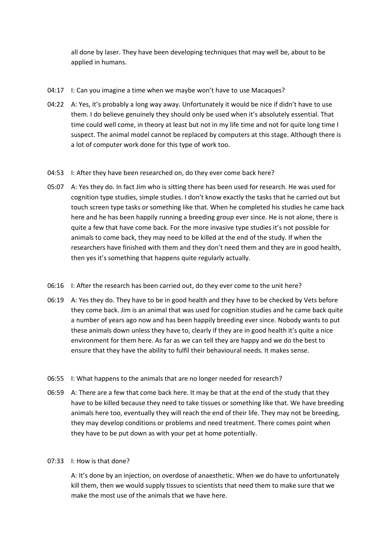all done by laser. They have been developing techniques that may well be, about to be applied in humans.

- 04:17 I: Can you imagine a time when we maybe won't have to use Macaques?
- 04:22 A: Yes, it's probably a long way away. Unfortunately it would be nice if didn't have to use them. I do believe genuinely they should only be used when it's absolutely essential. That time could well come, in theory at least but not in my life time and not for quite long time I suspect. The animal model cannot be replaced by computers at this stage. Although there is a lot of computer work done for this type of work too.
- 04:53 I: After they have been researched on, do they ever come back here?
- 05:07 A: Yes they do. In fact Jim who is sitting there has been used for research. He was used for cognition type studies, simple studies. I don't know exactly the tasks that he carried out but touch screen type tasks or something like that. When he completed his studies he came back here and he has been happily running a breeding group ever since. He is not alone, there is quite a few that have come back. For the more invasive type studies it's not possible for animals to come back, they may need to be killed at the end of the study. If when the researchers have finished with them and they don't need them and they are in good health, then yes it's something that happens quite regularly actually.
- 06:16 I: After the research has been carried out, do they ever come to the unit here?
- 06:19 A: Yes they do. They have to be in good health and they have to be checked by Vets before they come back. Jim is an animal that was used for cognition studies and he came back quite a number of years ago now and has been happily breeding ever since. Nobody wants to put these animals down unless they have to, clearly if they are in good health it's quite a nice environment for them here. As far as we can tell they are happy and we do the best to ensure that they have the ability to fulfil their behavioural needs. It makes sense.
- 06:55 I: What happens to the animals that are no longer needed for research?
- 06:59 A: There are a few that come back here. It may be that at the end of the study that they have to be killed because they need to take tissues or something like that. We have breeding animals here too, eventually they will reach the end of their life. They may not be breeding, they may develop conditions or problems and need treatment. There comes point when they have to be put down as with your pet at home potentially.

## 07:33 I: How is that done?

A: It's done by an injection, on overdose of anaesthetic. When we do have to unfortunately kill them, then we would supply tissues to scientists that need them to make sure that we make the most use of the animals that we have here.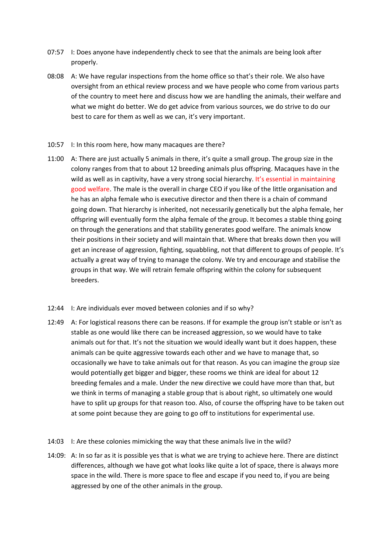- 07:57 I: Does anyone have independently check to see that the animals are being look after properly.
- 08:08 A: We have regular inspections from the home office so that's their role. We also have oversight from an ethical review process and we have people who come from various parts of the country to meet here and discuss how we are handling the animals, their welfare and what we might do better. We do get advice from various sources, we do strive to do our best to care for them as well as we can, it's very important.

## 10:57 I: In this room here, how many macaques are there?

11:00 A: There are just actually 5 animals in there, it's quite a small group. The group size in the colony ranges from that to about 12 breeding animals plus offspring. Macaques have in the wild as well as in captivity, have a very strong social hierarchy. It's essential in maintaining good welfare. The male is the overall in charge CEO if you like of the little organisation and he has an alpha female who is executive director and then there is a chain of command going down. That hierarchy is inherited, not necessarily genetically but the alpha female, her offspring will eventually form the alpha female of the group. It becomes a stable thing going on through the generations and that stability generates good welfare. The animals know their positions in their society and will maintain that. Where that breaks down then you will get an increase of aggression, fighting, squabbling, not that different to groups of people. It's actually a great way of trying to manage the colony. We try and encourage and stabilise the groups in that way. We will retrain female offspring within the colony for subsequent breeders.

## 12:44 I: Are individuals ever moved between colonies and if so why?

- 12:49 A: For logistical reasons there can be reasons. If for example the group isn't stable or isn't as stable as one would like there can be increased aggression, so we would have to take animals out for that. It's not the situation we would ideally want but it does happen, these animals can be quite aggressive towards each other and we have to manage that, so occasionally we have to take animals out for that reason. As you can imagine the group size would potentially get bigger and bigger, these rooms we think are ideal for about 12 breeding females and a male. Under the new directive we could have more than that, but we think in terms of managing a stable group that is about right, so ultimately one would have to split up groups for that reason too. Also, of course the offspring have to be taken out at some point because they are going to go off to institutions for experimental use.
- 14:03 I: Are these colonies mimicking the way that these animals live in the wild?
- 14:09: A: In so far as it is possible yes that is what we are trying to achieve here. There are distinct differences, although we have got what looks like quite a lot of space, there is always more space in the wild. There is more space to flee and escape if you need to, if you are being aggressed by one of the other animals in the group.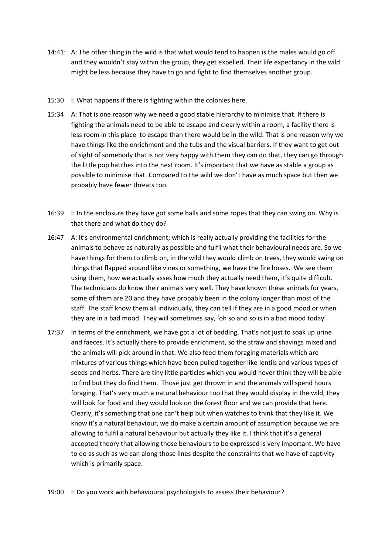- 14:41: A: The other thing in the wild is that what would tend to happen is the males would go off and they wouldn't stay within the group, they get expelled. Their life expectancy in the wild might be less because they have to go and fight to find themselves another group.
- 15:30 I: What happens if there is fighting within the colonies here.
- 15:34 A: That is one reason why we need a good stable hierarchy to minimise that. If there is fighting the animals need to be able to escape and clearly within a room, a facility there is less room in this place to escape than there would be in the wild. That is one reason why we have things like the enrichment and the tubs and the visual barriers. If they want to get out of sight of somebody that is not very happy with them they can do that, they can go through the little pop hatches into the next room. It's important that we have as stable a group as possible to minimise that. Compared to the wild we don't have as much space but then we probably have fewer threats too.
- 16:39 I: In the enclosure they have got some balls and some ropes that they can swing on. Why is that there and what do they do?
- 16:47 A: It's environmental enrichment; which is really actually providing the facilities for the animals to behave as naturally as possible and fulfil what their behavioural needs are. So we have things for them to climb on, in the wild they would climb on trees, they would swing on things that flapped around like vines or something, we have the fire hoses. We see them using them, how we actually asses how much they actually need them, it's quite difficult. The technicians do know their animals very well. They have known these animals for years, some of them are 20 and they have probably been in the colony longer than most of the staff. The staff know them all individually, they can tell if they are in a good mood or when they are in a bad mood. They will sometimes say, 'oh so and so is in a bad mood today'.
- 17:37 In terms of the enrichment, we have got a lot of bedding. That's not just to soak up urine and faeces. It's actually there to provide enrichment, so the straw and shavings mixed and the animals will pick around in that. We also feed them foraging materials which are mixtures of various things which have been pulled together like lentils and various types of seeds and herbs. There are tiny little particles which you would never think they will be able to find but they do find them. Those just get thrown in and the animals will spend hours foraging. That's very much a natural behaviour too that they would display in the wild, they will look for food and they would look on the forest floor and we can provide that here. Clearly, it's something that one can't help but when watches to think that they like it. We know it's a natural behaviour, we do make a certain amount of assumption because we are allowing to fulfil a natural behaviour but actually they like it. I think that it's a general accepted theory that allowing those behaviours to be expressed is very important. We have to do as such as we can along those lines despite the constraints that we have of captivity which is primarily space.

19:00 I: Do you work with behavioural psychologists to assess their behaviour?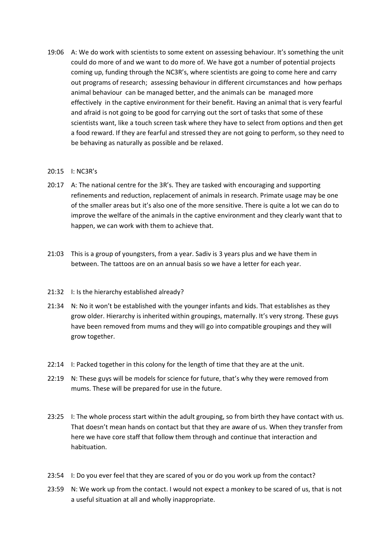19:06 A: We do work with scientists to some extent on assessing behaviour. It's something the unit could do more of and we want to do more of. We have got a number of potential projects coming up, funding through the NC3R's, where scientists are going to come here and carry out programs of research; assessing behaviour in different circumstances and how perhaps animal behaviour can be managed better, and the animals can be managed more effectively in the captive environment for their benefit. Having an animal that is very fearful and afraid is not going to be good for carrying out the sort of tasks that some of these scientists want, like a touch screen task where they have to select from options and then get a food reward. If they are fearful and stressed they are not going to perform, so they need to be behaving as naturally as possible and be relaxed.

## 20:15 I: NC3R's

- 20:17 A: The national centre for the 3R's. They are tasked with encouraging and supporting refinements and reduction, replacement of animals in research. Primate usage may be one of the smaller areas but it's also one of the more sensitive. There is quite a lot we can do to improve the welfare of the animals in the captive environment and they clearly want that to happen, we can work with them to achieve that.
- 21:03 This is a group of youngsters, from a year. Sadiv is 3 years plus and we have them in between. The tattoos are on an annual basis so we have a letter for each year.
- 21:32 I: Is the hierarchy established already?
- 21:34 N: No it won't be established with the younger infants and kids. That establishes as they grow older. Hierarchy is inherited within groupings, maternally. It's very strong. These guys have been removed from mums and they will go into compatible groupings and they will grow together.
- 22:14 I: Packed together in this colony for the length of time that they are at the unit.
- 22:19 N: These guys will be models for science for future, that's why they were removed from mums. These will be prepared for use in the future.
- 23:25 I: The whole process start within the adult grouping, so from birth they have contact with us. That doesn't mean hands on contact but that they are aware of us. When they transfer from here we have core staff that follow them through and continue that interaction and habituation.
- 23:54 I: Do you ever feel that they are scared of you or do you work up from the contact?
- 23:59 N: We work up from the contact. I would not expect a monkey to be scared of us, that is not a useful situation at all and wholly inappropriate.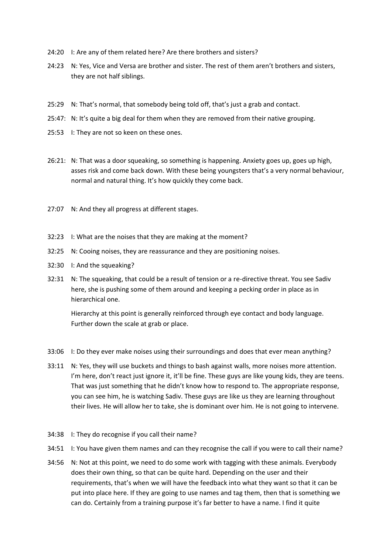- 24:20 I: Are any of them related here? Are there brothers and sisters?
- 24:23 N: Yes, Vice and Versa are brother and sister. The rest of them aren't brothers and sisters, they are not half siblings.
- 25:29 N: That's normal, that somebody being told off, that's just a grab and contact.
- 25:47: N: It's quite a big deal for them when they are removed from their native grouping.
- 25:53 I: They are not so keen on these ones.
- 26:21: N: That was a door squeaking, so something is happening. Anxiety goes up, goes up high, asses risk and come back down. With these being youngsters that's a very normal behaviour, normal and natural thing. It's how quickly they come back.
- 27:07 N: And they all progress at different stages.
- 32:23 I: What are the noises that they are making at the moment?
- 32:25 N: Cooing noises, they are reassurance and they are positioning noises.
- 32:30 I: And the squeaking?
- 32:31 N: The squeaking, that could be a result of tension or a re-directive threat. You see Sadiv here, she is pushing some of them around and keeping a pecking order in place as in hierarchical one.

Hierarchy at this point is generally reinforced through eye contact and body language. Further down the scale at grab or place.

- 33:06 I: Do they ever make noises using their surroundings and does that ever mean anything?
- 33:11 N: Yes, they will use buckets and things to bash against walls, more noises more attention. I'm here, don't react just ignore it, it'll be fine. These guys are like young kids, they are teens. That was just something that he didn't know how to respond to. The appropriate response, you can see him, he is watching Sadiv. These guys are like us they are learning throughout their lives. He will allow her to take, she is dominant over him. He is not going to intervene.
- 34:38 I: They do recognise if you call their name?
- 34:51 I: You have given them names and can they recognise the call if you were to call their name?
- 34:56 N: Not at this point, we need to do some work with tagging with these animals. Everybody does their own thing, so that can be quite hard. Depending on the user and their requirements, that's when we will have the feedback into what they want so that it can be put into place here. If they are going to use names and tag them, then that is something we can do. Certainly from a training purpose it's far better to have a name. I find it quite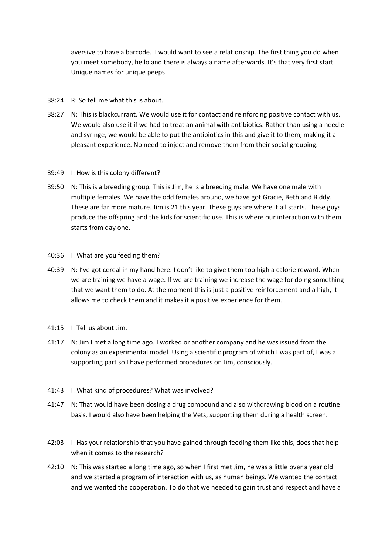aversive to have a barcode. I would want to see a relationship. The first thing you do when you meet somebody, hello and there is always a name afterwards. It's that very first start. Unique names for unique peeps.

- 38:24 R: So tell me what this is about.
- 38:27 N: This is blackcurrant. We would use it for contact and reinforcing positive contact with us. We would also use it if we had to treat an animal with antibiotics. Rather than using a needle and syringe, we would be able to put the antibiotics in this and give it to them, making it a pleasant experience. No need to inject and remove them from their social grouping.
- 39:49 I: How is this colony different?
- 39:50 N: This is a breeding group. This is Jim, he is a breeding male. We have one male with multiple females. We have the odd females around, we have got Gracie, Beth and Biddy. These are far more mature. Jim is 21 this year. These guys are where it all starts. These guys produce the offspring and the kids for scientific use. This is where our interaction with them starts from day one.
- 40:36 I: What are you feeding them?
- 40:39 N: I've got cereal in my hand here. I don't like to give them too high a calorie reward. When we are training we have a wage. If we are training we increase the wage for doing something that we want them to do. At the moment this is just a positive reinforcement and a high, it allows me to check them and it makes it a positive experience for them.
- 41:15 I: Tell us about Jim.
- 41:17 N: Jim I met a long time ago. I worked or another company and he was issued from the colony as an experimental model. Using a scientific program of which I was part of, I was a supporting part so I have performed procedures on Jim, consciously.
- 41:43 I: What kind of procedures? What was involved?
- 41:47 N: That would have been dosing a drug compound and also withdrawing blood on a routine basis. I would also have been helping the Vets, supporting them during a health screen.
- 42:03 I: Has your relationship that you have gained through feeding them like this, does that help when it comes to the research?
- 42:10 N: This was started a long time ago, so when I first met Jim, he was a little over a year old and we started a program of interaction with us, as human beings. We wanted the contact and we wanted the cooperation. To do that we needed to gain trust and respect and have a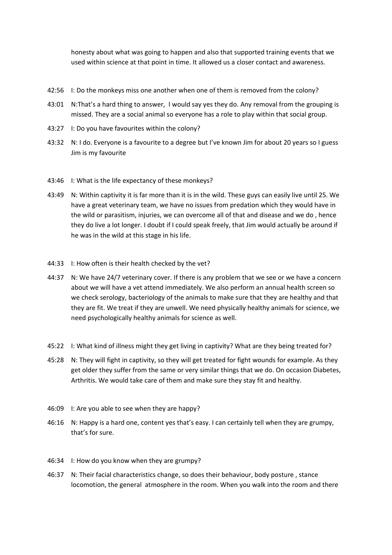honesty about what was going to happen and also that supported training events that we used within science at that point in time. It allowed us a closer contact and awareness.

- 42:56 I: Do the monkeys miss one another when one of them is removed from the colony?
- 43:01 N:That's a hard thing to answer, I would say yes they do. Any removal from the grouping is missed. They are a social animal so everyone has a role to play within that social group.
- 43:27 I: Do you have favourites within the colony?
- 43:32 N: I do. Everyone is a favourite to a degree but I've known Jim for about 20 years so I guess Jim is my favourite
- 43:46 I: What is the life expectancy of these monkeys?
- 43:49 N: Within captivity it is far more than it is in the wild. These guys can easily live until 25. We have a great veterinary team, we have no issues from predation which they would have in the wild or parasitism, injuries, we can overcome all of that and disease and we do , hence they do live a lot longer. I doubt if I could speak freely, that Jim would actually be around if he was in the wild at this stage in his life.
- 44:33 I: How often is their health checked by the vet?
- 44:37 N: We have 24/7 veterinary cover. If there is any problem that we see or we have a concern about we will have a vet attend immediately. We also perform an annual health screen so we check serology, bacteriology of the animals to make sure that they are healthy and that they are fit. We treat if they are unwell. We need physically healthy animals for science, we need psychologically healthy animals for science as well.
- 45:22 I: What kind of illness might they get living in captivity? What are they being treated for?
- 45:28 N: They will fight in captivity, so they will get treated for fight wounds for example. As they get older they suffer from the same or very similar things that we do. On occasion Diabetes, Arthritis. We would take care of them and make sure they stay fit and healthy.
- 46:09 I: Are you able to see when they are happy?
- 46:16 N: Happy is a hard one, content yes that's easy. I can certainly tell when they are grumpy, that's for sure.
- 46:34 I: How do you know when they are grumpy?
- 46:37 N: Their facial characteristics change, so does their behaviour, body posture , stance locomotion, the general atmosphere in the room. When you walk into the room and there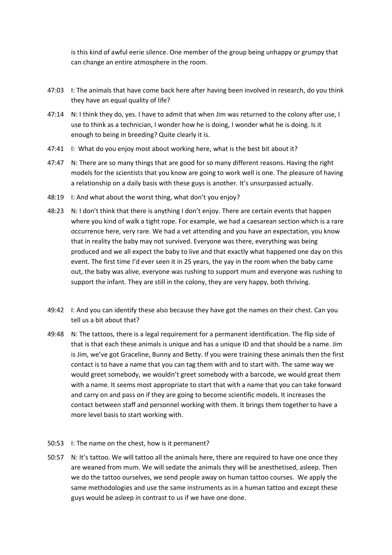is this kind of awful eerie silence. One member of the group being unhappy or grumpy that can change an entire atmosphere in the room.

- 47:03 I: The animals that have come back here after having been involved in research, do you think they have an equal quality of life?
- 47:14 N: I think they do, yes. I have to admit that when Jim was returned to the colony after use, I use to think as a technician, I wonder how he is doing, I wonder what he is doing. Is it enough to being in breeding? Quite clearly it is.
- 47:41 I: What do you enjoy most about working here, what is the best bit about it?
- 47:47 N: There are so many things that are good for so many different reasons. Having the right models for the scientists that you know are going to work well is one. The pleasure of having a relationship on a daily basis with these guys is another. It's unsurpassed actually.
- 48:19 I: And what about the worst thing, what don't you enjoy?
- 48:23 N: I don't think that there is anything I don't enjoy. There are certain events that happen where you kind of walk a tight rope. For example, we had a caesarean section which is a rare occurrence here, very rare. We had a vet attending and you have an expectation, you know that in reality the baby may not survived. Everyone was there, everything was being produced and we all expect the baby to live and that exactly what happened one day on this event. The first time I'd ever seen it in 25 years, the yay in the room when the baby came out, the baby was alive, everyone was rushing to support mum and everyone was rushing to support the infant. They are still in the colony, they are very happy, both thriving.
- 49:42 I: And you can identify these also because they have got the names on their chest. Can you tell us a bit about that?
- 49:48 N: The tattoos, there is a legal requirement for a permanent identification. The flip side of that is that each these animals is unique and has a unique ID and that should be a name. Jim is Jim, we've got Graceline, Bunny and Betty. If you were training these animals then the first contact is to have a name that you can tag them with and to start with. The same way we would greet somebody, we wouldn't greet somebody with a barcode, we would great them with a name. It seems most appropriate to start that with a name that you can take forward and carry on and pass on if they are going to become scientific models. It increases the contact between staff and personnel working with them. It brings them together to have a more level basis to start working with.
- 50:53 I: The name on the chest, how is it permanent?
- 50:57 N: It's tattoo. We will tattoo all the animals here, there are required to have one once they are weaned from mum. We will sedate the animals they will be anesthetised, asleep. Then we do the tattoo ourselves, we send people away on human tattoo courses. We apply the same methodologies and use the same instruments as in a human tattoo and except these guys would be asleep in contrast to us if we have one done.